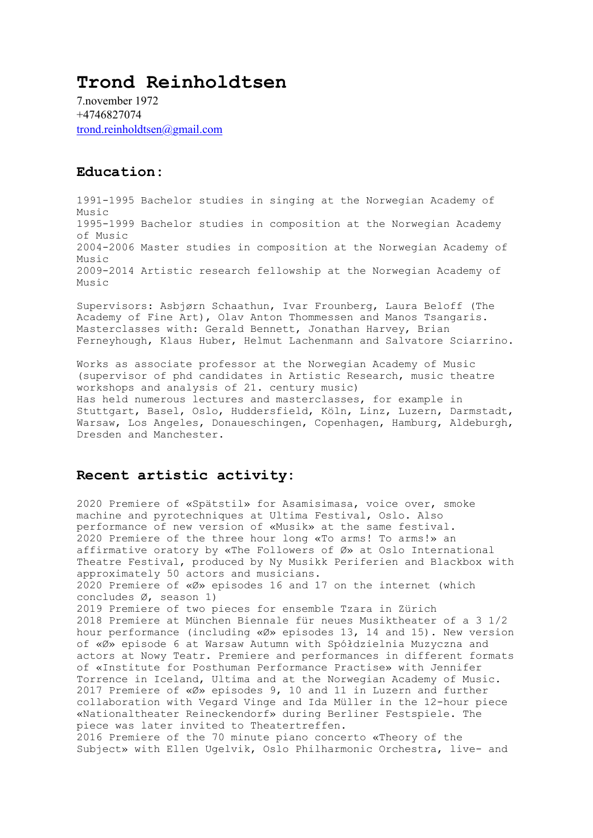## **Trond Reinholdtsen**

7.november 1972 +4746827074 [trond.reinholdtsen@gmail.com](mailto:trond.reinholdtsen@gmail.com)

## **Education:**

1991-1995 Bachelor studies in singing at the Norwegian Academy of Music 1995-1999 Bachelor studies in composition at the Norwegian Academy of Music 2004-2006 Master studies in composition at the Norwegian Academy of  $M$ usic 2009-2014 Artistic research fellowship at the Norwegian Academy of Music

Supervisors: Asbjørn Schaathun, Ivar Frounberg, Laura Beloff (The Academy of Fine Art), Olav Anton Thommessen and Manos Tsangaris. Masterclasses with: Gerald Bennett, Jonathan Harvey, Brian Ferneyhough, Klaus Huber, Helmut Lachenmann and Salvatore Sciarrino.

Works as associate professor at the Norwegian Academy of Music (supervisor of phd candidates in Artistic Research, music theatre workshops and analysis of 21. century music) Has held numerous lectures and masterclasses, for example in Stuttgart, Basel, Oslo, Huddersfield, Köln, Linz, Luzern, Darmstadt, Warsaw, Los Angeles, Donaueschingen, Copenhagen, Hamburg, Aldeburgh, Dresden and Manchester.

## **Recent artistic activity:**

2020 Premiere of «Spätstil» for Asamisimasa, voice over, smoke machine and pyrotechniques at Ultima Festival, Oslo. Also performance of new version of «Musik» at the same festival. 2020 Premiere of the three hour long «To arms! To arms!» an affirmative oratory by «The Followers of Ø» at Oslo International Theatre Festival, produced by Ny Musikk Periferien and Blackbox with approximately 50 actors and musicians. 2020 Premiere of «Ø» episodes 16 and 17 on the internet (which concludes Ø, season 1) 2019 Premiere of two pieces for ensemble Tzara in Zürich 2018 Premiere at München Biennale für neues Musiktheater of a 3 1/2 hour performance (including «Ø» episodes 13, 14 and 15). New version of «Ø» episode 6 at Warsaw Autumn with Spółdzielnia Muzyczna and actors at Nowy Teatr. Premiere and performances in different formats of «Institute for Posthuman Performance Practise» with Jennifer Torrence in Iceland, Ultima and at the Norwegian Academy of Music. 2017 Premiere of «Ø» episodes 9, 10 and 11 in Luzern and further collaboration with Vegard Vinge and Ida Müller in the 12-hour piece «Nationaltheater Reineckendorf» during Berliner Festspiele. The piece was later invited to Theatertreffen. 2016 Premiere of the 70 minute piano concerto «Theory of the Subject» with Ellen Ugelvik, Oslo Philharmonic Orchestra, live- and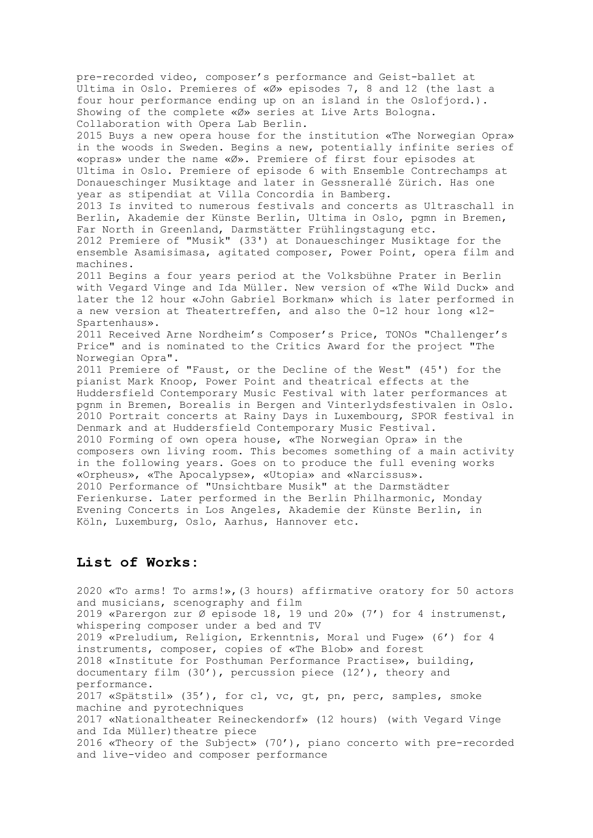pre-recorded video, composer's performance and Geist-ballet at Ultima in Oslo. Premieres of «Ø» episodes 7, 8 and 12 (the last a four hour performance ending up on an island in the Oslofjord.). Showing of the complete «Ø» series at Live Arts Bologna. Collaboration with Opera Lab Berlin. 2015 Buys a new opera house for the institution «The Norwegian Opra» in the woods in Sweden. Begins a new, potentially infinite series of «opras» under the name «Ø». Premiere of first four episodes at Ultima in Oslo. Premiere of episode 6 with Ensemble Contrechamps at Donaueschinger Musiktage and later in Gessnerallé Zürich. Has one year as stipendiat at Villa Concordia in Bamberg. 2013 Is invited to numerous festivals and concerts as Ultraschall in Berlin, Akademie der Künste Berlin, Ultima in Oslo, pgmn in Bremen, Far North in Greenland, Darmstätter Frühlingstagung etc. 2012 Premiere of "Musik" (33') at Donaueschinger Musiktage for the ensemble Asamisimasa, agitated composer, Power Point, opera film and machines. 2011 Begins a four years period at the Volksbühne Prater in Berlin with Vegard Vinge and Ida Müller. New version of «The Wild Duck» and later the 12 hour «John Gabriel Borkman» which is later performed in a new version at Theatertreffen, and also the 0-12 hour long «12- Spartenhaus». 2011 Received Arne Nordheim's Composer's Price, TONOs "Challenger's Price" and is nominated to the Critics Award for the project "The Norwegian Opra". 2011 Premiere of "Faust, or the Decline of the West" (45') for the pianist Mark Knoop, Power Point and theatrical effects at the Huddersfield Contemporary Music Festival with later performances at pgnm in Bremen, Borealis in Bergen and Vinterlydsfestivalen in Oslo. 2010 Portrait concerts at Rainy Days in Luxembourg, SPOR festival in Denmark and at Huddersfield Contemporary Music Festival. 2010 Forming of own opera house, «The Norwegian Opra» in the composers own living room. This becomes something of a main activity in the following years. Goes on to produce the full evening works «Orpheus», «The Apocalypse», «Utopia» and «Narcissus». 2010 Performance of "Unsichtbare Musik" at the Darmstädter Ferienkurse. Later performed in the Berlin Philharmonic, Monday Evening Concerts in Los Angeles, Akademie der Künste Berlin, in Köln, Luxemburg, Oslo, Aarhus, Hannover etc.

## **List of Works:**

2020 «To arms! To arms!»,(3 hours) affirmative oratory for 50 actors and musicians, scenography and film 2019 «Parergon zur Ø episode 18, 19 und 20» (7') for 4 instrumenst, whispering composer under a bed and TV 2019 «Preludium, Religion, Erkenntnis, Moral und Fuge» (6') for 4 instruments, composer, copies of «The Blob» and forest 2018 «Institute for Posthuman Performance Practise», building, documentary film (30'), percussion piece (12'), theory and performance. 2017 «Spätstil» (35'), for cl, vc, gt, pn, perc, samples, smoke machine and pyrotechniques 2017 «Nationaltheater Reineckendorf» (12 hours) (with Vegard Vinge and Ida Müller) theatre piece 2016 «Theory of the Subject» (70'), piano concerto with pre-recorded and live-video and composer performance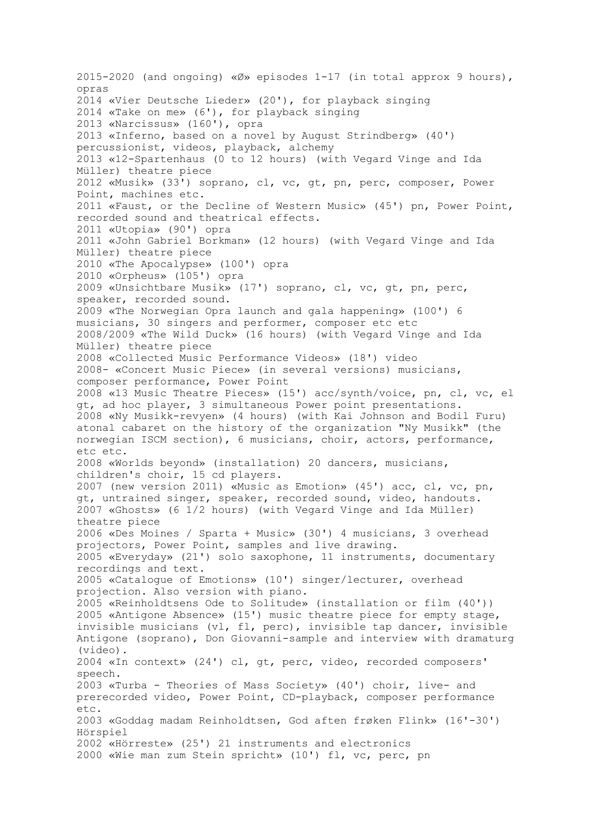2015-2020 (and ongoing) «Ø» episodes 1-17 (in total approx 9 hours), opras 2014 «Vier Deutsche Lieder» (20'), for playback singing 2014 «Take on me» (6'), for playback singing 2013 «Narcissus» (160'), opra 2013 «Inferno, based on a novel by August Strindberg» (40') percussionist, videos, playback, alchemy 2013 «12-Spartenhaus (0 to 12 hours) (with Vegard Vinge and Ida Müller) theatre piece 2012 «Musik» (33') soprano, cl, vc, gt, pn, perc, composer, Power Point, machines etc. 2011 «Faust, or the Decline of Western Music» (45') pn, Power Point, recorded sound and theatrical effects. 2011 «Utopia» (90') opra 2011 «John Gabriel Borkman» (12 hours) (with Vegard Vinge and Ida Müller) theatre piece 2010 «The Apocalypse» (100') opra 2010 «Orpheus» (105') opra 2009 «Unsichtbare Musik» (17') soprano, cl, vc, gt, pn, perc, speaker, recorded sound. 2009 «The Norwegian Opra launch and gala happening» (100') 6 musicians, 30 singers and performer, composer etc etc 2008/2009 «The Wild Duck» (16 hours) (with Vegard Vinge and Ida Müller) theatre piece 2008 «Collected Music Performance Videos» (18') video 2008- «Concert Music Piece» (in several versions) musicians, composer performance, Power Point 2008 «13 Music Theatre Pieces» (15') acc/synth/voice, pn, cl, vc, el gt, ad hoc player, 3 simultaneous Power point presentations. 2008 «Ny Musikk-revyen» (4 hours) (with Kai Johnson and Bodil Furu) atonal cabaret on the history of the organization "Ny Musikk" (the norwegian ISCM section), 6 musicians, choir, actors, performance, etc etc. 2008 «Worlds beyond» (installation) 20 dancers, musicians, children's choir, 15 cd players. 2007 (new version 2011) «Music as Emotion» (45') acc, cl, vc, pn, gt, untrained singer, speaker, recorded sound, video, handouts. 2007 «Ghosts» (6 1/2 hours) (with Vegard Vinge and Ida Müller) theatre piece 2006 «Des Moines / Sparta + Music» (30') 4 musicians, 3 overhead projectors, Power Point, samples and live drawing. 2005 «Everyday» (21') solo saxophone, 11 instruments, documentary recordings and text. 2005 «Catalogue of Emotions» (10') singer/lecturer, overhead projection. Also version with piano. 2005 «Reinholdtsens Ode to Solitude» (installation or film (40')) 2005 «Antigone Absence» (15') music theatre piece for empty stage, invisible musicians (vl, fl, perc), invisible tap dancer, invisible Antigone (soprano), Don Giovanni-sample and interview with dramaturg (video). 2004 «In context» (24') cl, gt, perc, video, recorded composers' speech. 2003 «Turba - Theories of Mass Society» (40') choir, live- and prerecorded video, Power Point, CD-playback, composer performance etc. 2003 «Goddag madam Reinholdtsen, God aften frøken Flink» (16'-30') Hörspiel 2002 «Hörreste» (25') 21 instruments and electronics 2000 «Wie man zum Stein spricht» (10') fl, vc, perc, pn